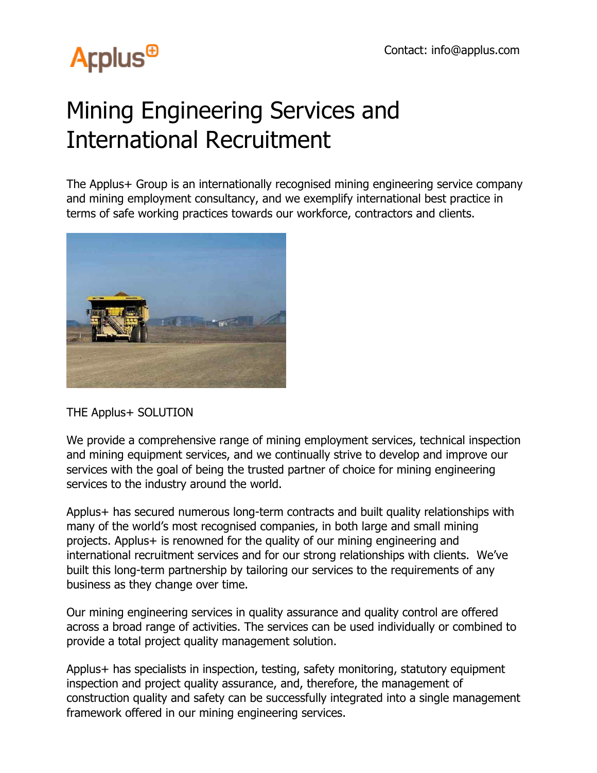## **Arplus<sup>®</sup>**

## Mining Engineering Services and International Recruitment

The Applus+ Group is an internationally recognised mining engineering service company and mining employment consultancy, and we exemplify international best practice in terms of safe working practices towards our workforce, contractors and clients.



THE Applus+ SOLUTION

We provide a comprehensive range of mining employment services, technical inspection and mining equipment services, and we continually strive to develop and improve our services with the goal of being the trusted partner of choice for mining engineering services to the industry around the world.

Applus+ has secured numerous long-term contracts and built quality relationships with many of the world's most recognised companies, in both large and small mining projects. Applus+ is renowned for the quality of our mining engineering and international recruitment services and for our strong relationships with clients. We've built this long-term partnership by tailoring our services to the requirements of any business as they change over time.

Our mining engineering services in quality assurance and quality control are offered across a broad range of activities. The services can be used individually or combined to provide a total project quality management solution.

Applus+ has specialists in inspection, testing, safety monitoring, statutory equipment inspection and project quality assurance, and, therefore, the management of construction quality and safety can be successfully integrated into a single management framework offered in our mining engineering services.